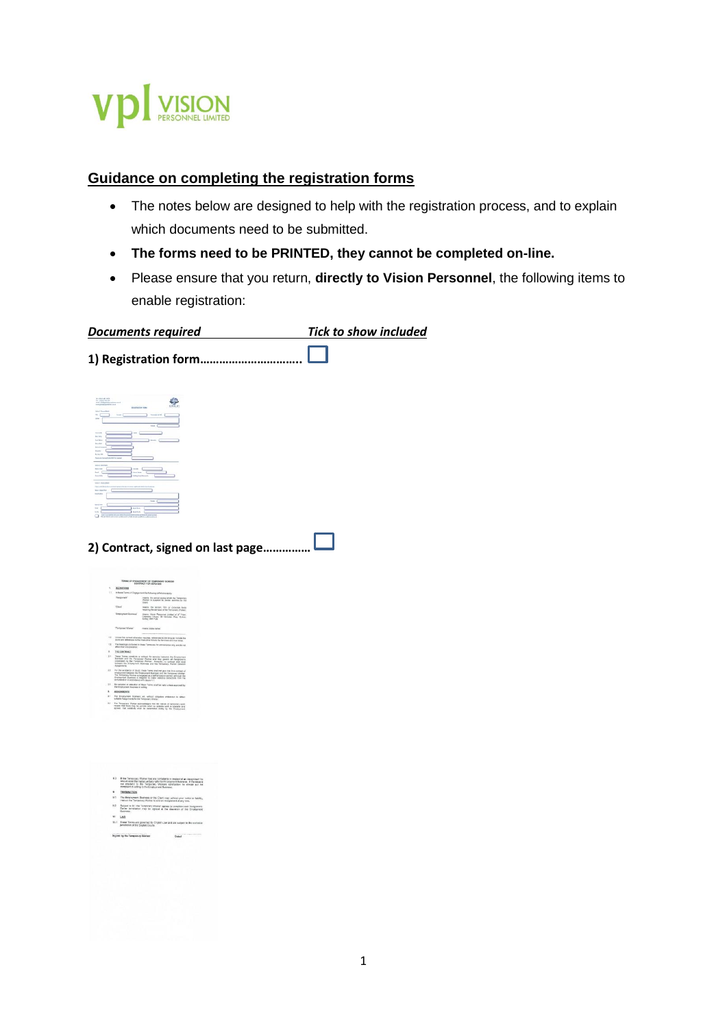

# **Guidance on completing the registration forms**

- The notes below are designed to help with the registration process, and to explain which documents need to be submitted.
- **The forms need to be PRINTED, they cannot be completed on-line.**
- Please ensure that you return, **directly to Vision Personnel**, the following items to enable registration:

| <b>Documents required</b>                                                                                                                                                                                                                                                                                                                                                                                                                                          | <b>Tick to show included</b> |
|--------------------------------------------------------------------------------------------------------------------------------------------------------------------------------------------------------------------------------------------------------------------------------------------------------------------------------------------------------------------------------------------------------------------------------------------------------------------|------------------------------|
| 1) Registration form                                                                                                                                                                                                                                                                                                                                                                                                                                               |                              |
| S<br>accruze in<br>∍<br>men.                                                                                                                                                                                                                                                                                                                                                                                                                                       |                              |
| <b>Bit Ink</b>                                                                                                                                                                                                                                                                                                                                                                                                                                                     |                              |
| $\frac{1}{2}$ have                                                                                                                                                                                                                                                                                                                                                                                                                                                 |                              |
| 2) Contract, signed on last page.                                                                                                                                                                                                                                                                                                                                                                                                                                  |                              |
|                                                                                                                                                                                                                                                                                                                                                                                                                                                                    |                              |
| TERMS OF ENGAGEMENT OF TEMPORARY RICHIGER<br><b>DEEMITIONS</b><br>×.<br>In these Terms of Engagement the following celled and apply:<br>Vangener<br>means the period during which the Tempurers'<br>Worker is supplied to dender senious to the<br>There<br>means. the person, first or corporate in<br>requiring the aeriess of the Temporary Wood<br><b>Troisment Sussex</b><br>means Visco Personni Corted of 3" Fear<br>Chenney, House, 31 Notates Visy, Suite |                              |
| Tempony Women<br>mes join ses                                                                                                                                                                                                                                                                                                                                                                                                                                      |                              |
| 12<br>mes the carenet offerwise requires, references to the engular reclude the<br>of and references to the massiline include the ferones and vice sense<br>$^{(3)}$<br>The headings contained in these Terms are for convenience any and do not allow the restorations.                                                                                                                                                                                           |                              |
| 1 THE CONTRACT<br>$\mathbb{R}^n$<br>me Torna consiluir a contact for assume between the Councerton<br>Johns And the Terrorony Worker and they govern at Analysmurian<br>Internet by the Terrorony Worker, Humbert, no compact atac and<br>MHST for Copinyment Beatmen and t                                                                                                                                                                                        |                              |
| 2.2<br>If the availables of doubt, these Terms and rul guys read to a context of the forecast in Sections the Sections and the forecast and the forecast in the section of the forecast in the section of the section of the section<br><b>COLLEGE</b><br>$23 -$                                                                                                                                                                                                   |                              |
| The numerical of primation of these fierms shall be valid united approved by the Employment Business in artists.<br>×<br>ASSESSED 1<br>11<br>The Employment Business will, without competent endorsement to obtain<br>website Ausgoznerm for the Temporary Works:<br>38                                                                                                                                                                                            |                              |
| The Temporary Worker scientedaple that the nature of temporary work<br>means that there may be periods what on subside work is available and<br>agrees. that substitity what his closenthiad solary by the Cropbymet                                                                                                                                                                                                                                               |                              |
|                                                                                                                                                                                                                                                                                                                                                                                                                                                                    |                              |
|                                                                                                                                                                                                                                                                                                                                                                                                                                                                    |                              |

|                | should raise the matter verbally with the Employment Business. If the lesse is<br>not resolved to the Temporary Workers spitalaction he should put his<br>compleint in writing to the Employment Business. |                                |
|----------------|------------------------------------------------------------------------------------------------------------------------------------------------------------------------------------------------------------|--------------------------------|
| ٠              | <b>TERMINATION</b>                                                                                                                                                                                         |                                |
| 9.31           | The Employment Business or the Client may, writicut prior notice or kability.<br>insbuct the Temporary Worker to ond an Assignment at any time.                                                            |                                |
| 0.2            | Bubjact to 9.1 the Twmperary Wodor agrees to complete each Assignment.<br>Carlor termination may be agreed at the discussion of the Employment<br><b>Business</b>                                          |                                |
| T <sub>0</sub> | LAW                                                                                                                                                                                                        |                                |
|                | 10.1 These Texto are governed by English Law and are subject to the methodol<br>jurisdiction of the English Courts.                                                                                        |                                |
|                | Signed by the Temporary Worker                                                                                                                                                                             | TECHNICALS IN<br><b>Detect</b> |
|                |                                                                                                                                                                                                            |                                |
|                |                                                                                                                                                                                                            |                                |
|                |                                                                                                                                                                                                            |                                |
|                |                                                                                                                                                                                                            |                                |
|                |                                                                                                                                                                                                            |                                |
|                |                                                                                                                                                                                                            |                                |
|                |                                                                                                                                                                                                            |                                |
|                |                                                                                                                                                                                                            |                                |
|                |                                                                                                                                                                                                            |                                |
|                |                                                                                                                                                                                                            |                                |
|                |                                                                                                                                                                                                            |                                |
|                |                                                                                                                                                                                                            |                                |
|                |                                                                                                                                                                                                            |                                |
|                |                                                                                                                                                                                                            |                                |
|                |                                                                                                                                                                                                            |                                |
|                |                                                                                                                                                                                                            |                                |
|                |                                                                                                                                                                                                            |                                |
|                |                                                                                                                                                                                                            |                                |
|                |                                                                                                                                                                                                            |                                |
|                |                                                                                                                                                                                                            |                                |
|                |                                                                                                                                                                                                            |                                |
|                |                                                                                                                                                                                                            |                                |
|                |                                                                                                                                                                                                            |                                |
|                |                                                                                                                                                                                                            |                                |
|                |                                                                                                                                                                                                            |                                |
|                |                                                                                                                                                                                                            |                                |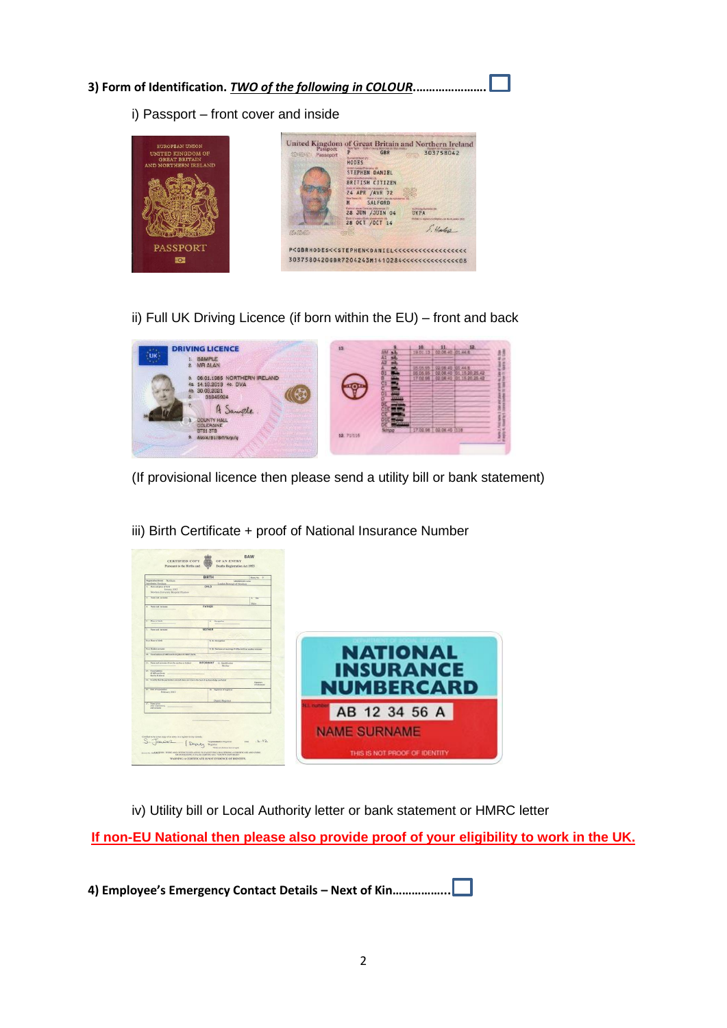#### **3) Form of Identification.** *TWO of the following in COLOUR***.………………….**

i) Passport – front cover and inside



# ii) Full UK Driving Licence (if born within the EU) – front and back



(If provisional licence then please send a utility bill or bank statement)



iii) Birth Certificate + proof of National Insurance Number

iv) Utility bill or Local Authority letter or bank statement or HMRC letter

**If non-EU National then please also provide proof of your eligibility to work in the UK.**

**4) Employee's Emergency Contact Details – Next of Kin……………...**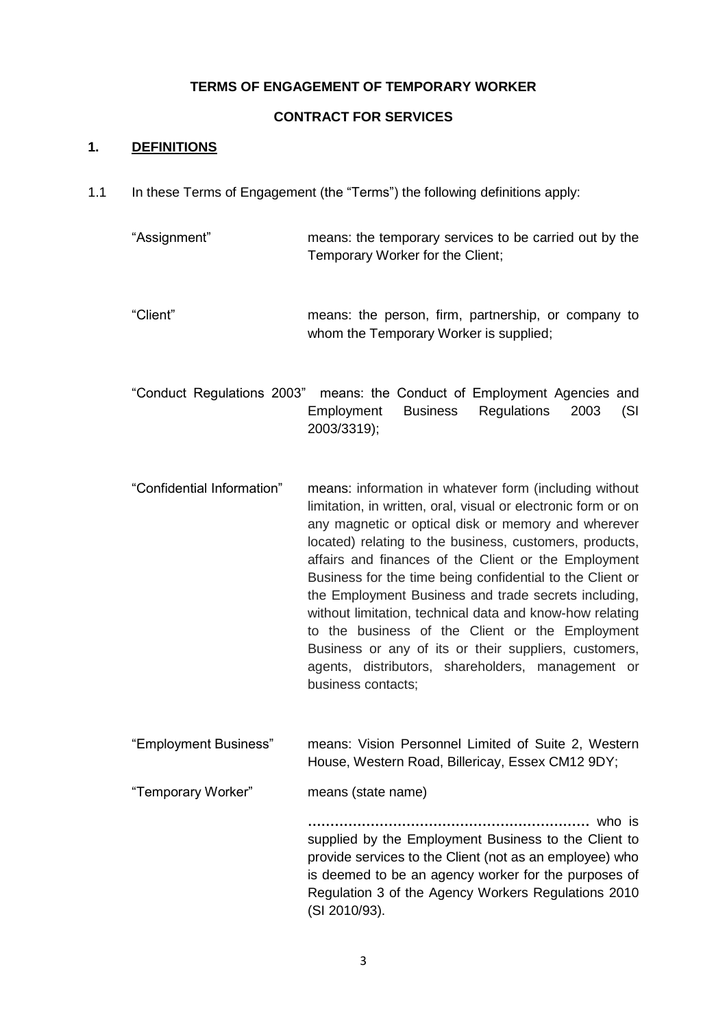#### **TERMS OF ENGAGEMENT OF TEMPORARY WORKER**

#### **CONTRACT FOR SERVICES**

#### **1. DEFINITIONS**

1.1 In these Terms of Engagement (the "Terms") the following definitions apply:

| "Assignment" | means: the temporary services to be carried out by the |
|--------------|--------------------------------------------------------|
|              | Temporary Worker for the Client;                       |

"Client" means: the person, firm, partnership, or company to whom the Temporary Worker is supplied:

"Conduct Regulations 2003" means: the Conduct of Employment Agencies and Employment Business Regulations 2003 (SI 2003/3319);

"Confidential Information" means: information in whatever form (including without limitation, in written, oral, visual or electronic form or on any magnetic or optical disk or memory and wherever located) relating to the business, customers, products, affairs and finances of the Client or the Employment Business for the time being confidential to the Client or the Employment Business and trade secrets including, without limitation, technical data and know-how relating to the business of the Client or the Employment Business or any of its or their suppliers, customers, agents, distributors, shareholders, management or business contacts;

"Employment Business" means: Vision Personnel Limited of Suite 2, Western House, Western Road, Billericay, Essex CM12 9DY;

"Temporary Worker" means (state name)

**………………………………………………………** who is supplied by the Employment Business to the Client to provide services to the Client (not as an employee) who is deemed to be an agency worker for the purposes of Regulation 3 of the Agency Workers Regulations 2010 (SI 2010/93).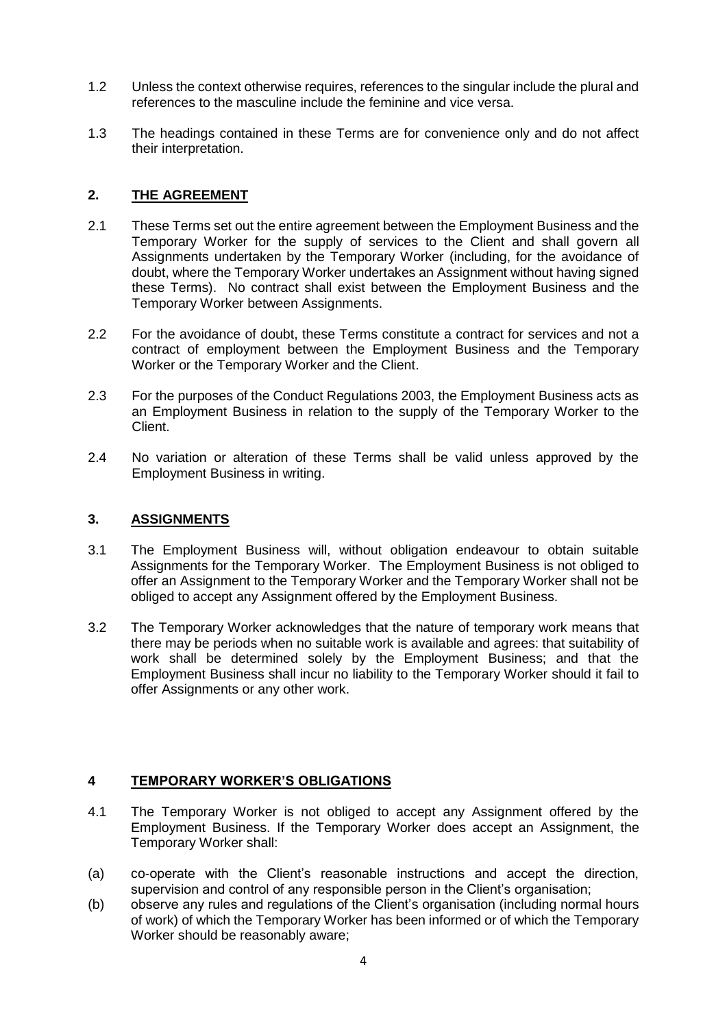- 1.2 Unless the context otherwise requires, references to the singular include the plural and references to the masculine include the feminine and vice versa.
- 1.3 The headings contained in these Terms are for convenience only and do not affect their interpretation.

#### **2. THE AGREEMENT**

- 2.1 These Terms set out the entire agreement between the Employment Business and the Temporary Worker for the supply of services to the Client and shall govern all Assignments undertaken by the Temporary Worker (including, for the avoidance of doubt, where the Temporary Worker undertakes an Assignment without having signed these Terms). No contract shall exist between the Employment Business and the Temporary Worker between Assignments.
- 2.2 For the avoidance of doubt, these Terms constitute a contract for services and not a contract of employment between the Employment Business and the Temporary Worker or the Temporary Worker and the Client.
- 2.3 For the purposes of the Conduct Regulations 2003, the Employment Business acts as an Employment Business in relation to the supply of the Temporary Worker to the Client.
- 2.4 No variation or alteration of these Terms shall be valid unless approved by the Employment Business in writing.

#### **3. ASSIGNMENTS**

- 3.1 The Employment Business will, without obligation endeavour to obtain suitable Assignments for the Temporary Worker. The Employment Business is not obliged to offer an Assignment to the Temporary Worker and the Temporary Worker shall not be obliged to accept any Assignment offered by the Employment Business.
- 3.2 The Temporary Worker acknowledges that the nature of temporary work means that there may be periods when no suitable work is available and agrees: that suitability of work shall be determined solely by the Employment Business; and that the Employment Business shall incur no liability to the Temporary Worker should it fail to offer Assignments or any other work.

## **4 TEMPORARY WORKER'S OBLIGATIONS**

- 4.1 The Temporary Worker is not obliged to accept any Assignment offered by the Employment Business. If the Temporary Worker does accept an Assignment, the Temporary Worker shall:
- (a) co-operate with the Client's reasonable instructions and accept the direction, supervision and control of any responsible person in the Client's organisation;
- (b) observe any rules and regulations of the Client's organisation (including normal hours of work) of which the Temporary Worker has been informed or of which the Temporary Worker should be reasonably aware;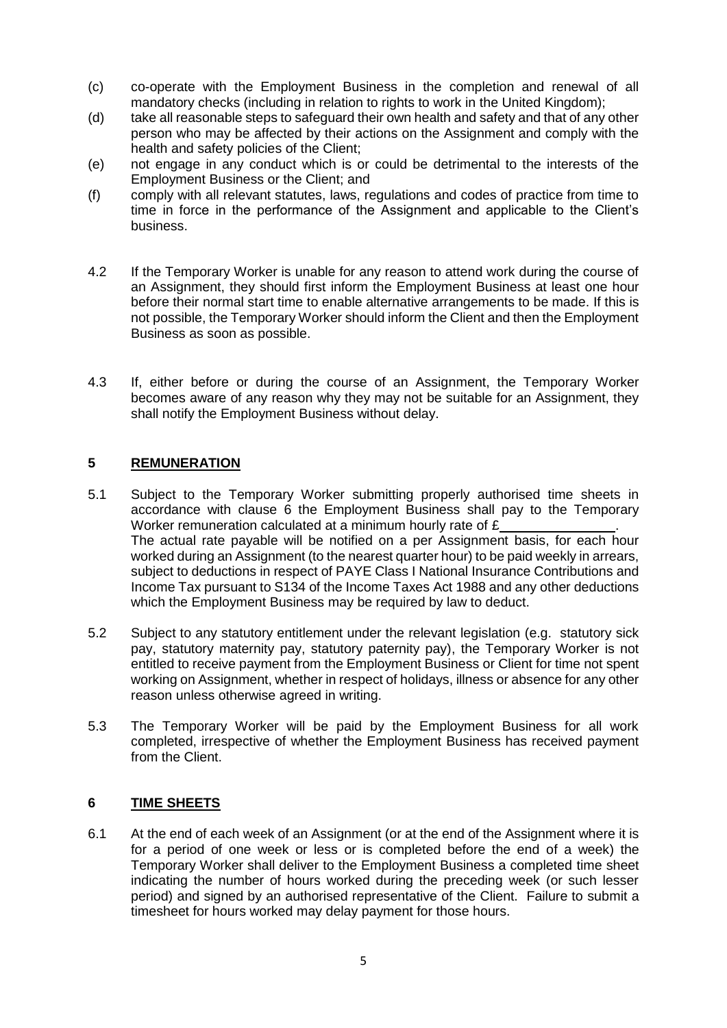- (c) co-operate with the Employment Business in the completion and renewal of all mandatory checks (including in relation to rights to work in the United Kingdom);
- (d) take all reasonable steps to safeguard their own health and safety and that of any other person who may be affected by their actions on the Assignment and comply with the health and safety policies of the Client;
- (e) not engage in any conduct which is or could be detrimental to the interests of the Employment Business or the Client; and
- (f) comply with all relevant statutes, laws, regulations and codes of practice from time to time in force in the performance of the Assignment and applicable to the Client's business.
- 4.2 If the Temporary Worker is unable for any reason to attend work during the course of an Assignment, they should first inform the Employment Business at least one hour before their normal start time to enable alternative arrangements to be made. If this is not possible, the Temporary Worker should inform the Client and then the Employment Business as soon as possible.
- 4.3 If, either before or during the course of an Assignment, the Temporary Worker becomes aware of any reason why they may not be suitable for an Assignment, they shall notify the Employment Business without delay.

## **5 REMUNERATION**

- 5.1 Subject to the Temporary Worker submitting properly authorised time sheets in accordance with clause 6 the Employment Business shall pay to the Temporary Worker remuneration calculated at a minimum hourly rate of £ The actual rate payable will be notified on a per Assignment basis, for each hour worked during an Assignment (to the nearest quarter hour) to be paid weekly in arrears, subject to deductions in respect of PAYE Class I National Insurance Contributions and Income Tax pursuant to S134 of the Income Taxes Act 1988 and any other deductions which the Employment Business may be required by law to deduct.
- 5.2 Subject to any statutory entitlement under the relevant legislation (e.g. statutory sick pay, statutory maternity pay, statutory paternity pay), the Temporary Worker is not entitled to receive payment from the Employment Business or Client for time not spent working on Assignment, whether in respect of holidays, illness or absence for any other reason unless otherwise agreed in writing.
- 5.3 The Temporary Worker will be paid by the Employment Business for all work completed, irrespective of whether the Employment Business has received payment from the Client.

#### **6 TIME SHEETS**

6.1 At the end of each week of an Assignment (or at the end of the Assignment where it is for a period of one week or less or is completed before the end of a week) the Temporary Worker shall deliver to the Employment Business a completed time sheet indicating the number of hours worked during the preceding week (or such lesser period) and signed by an authorised representative of the Client. Failure to submit a timesheet for hours worked may delay payment for those hours.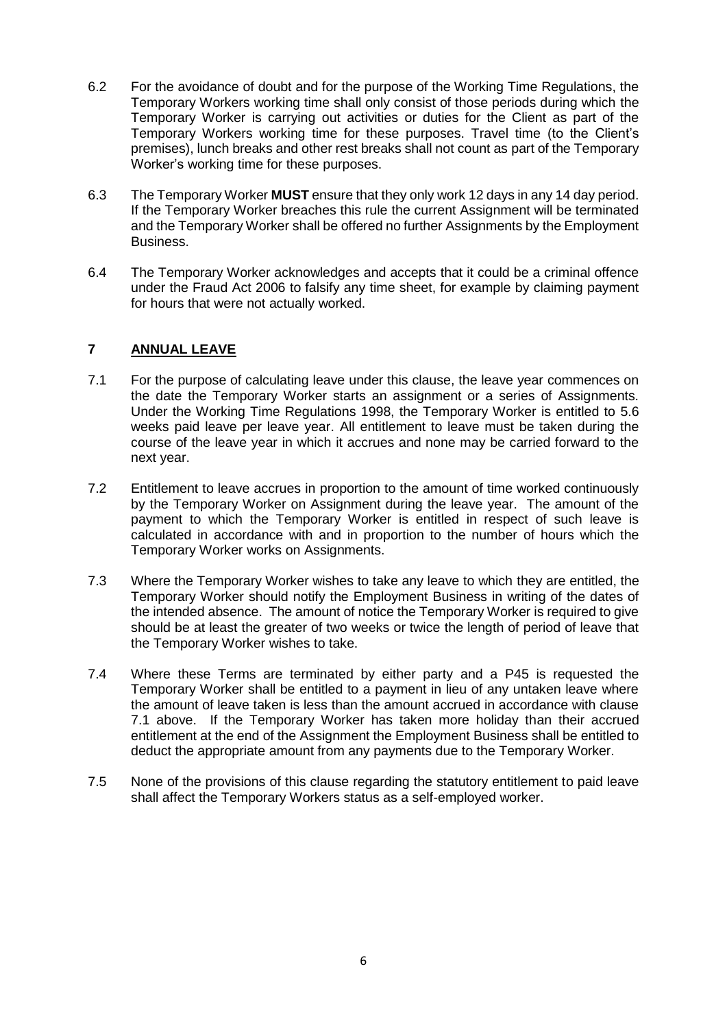- 6.2 For the avoidance of doubt and for the purpose of the Working Time Regulations, the Temporary Workers working time shall only consist of those periods during which the Temporary Worker is carrying out activities or duties for the Client as part of the Temporary Workers working time for these purposes. Travel time (to the Client's premises), lunch breaks and other rest breaks shall not count as part of the Temporary Worker's working time for these purposes.
- 6.3 The Temporary Worker **MUST** ensure that they only work 12 days in any 14 day period. If the Temporary Worker breaches this rule the current Assignment will be terminated and the Temporary Worker shall be offered no further Assignments by the Employment Business.
- 6.4 The Temporary Worker acknowledges and accepts that it could be a criminal offence under the Fraud Act 2006 to falsify any time sheet, for example by claiming payment for hours that were not actually worked.

## **7 ANNUAL LEAVE**

- 7.1 For the purpose of calculating leave under this clause, the leave year commences on the date the Temporary Worker starts an assignment or a series of Assignments. Under the Working Time Regulations 1998, the Temporary Worker is entitled to 5.6 weeks paid leave per leave year. All entitlement to leave must be taken during the course of the leave year in which it accrues and none may be carried forward to the next year.
- 7.2 Entitlement to leave accrues in proportion to the amount of time worked continuously by the Temporary Worker on Assignment during the leave year. The amount of the payment to which the Temporary Worker is entitled in respect of such leave is calculated in accordance with and in proportion to the number of hours which the Temporary Worker works on Assignments.
- 7.3 Where the Temporary Worker wishes to take any leave to which they are entitled, the Temporary Worker should notify the Employment Business in writing of the dates of the intended absence. The amount of notice the Temporary Worker is required to give should be at least the greater of two weeks or twice the length of period of leave that the Temporary Worker wishes to take.
- 7.4 Where these Terms are terminated by either party and a P45 is requested the Temporary Worker shall be entitled to a payment in lieu of any untaken leave where the amount of leave taken is less than the amount accrued in accordance with clause 7.1 above. If the Temporary Worker has taken more holiday than their accrued entitlement at the end of the Assignment the Employment Business shall be entitled to deduct the appropriate amount from any payments due to the Temporary Worker.
- 7.5 None of the provisions of this clause regarding the statutory entitlement to paid leave shall affect the Temporary Workers status as a self-employed worker.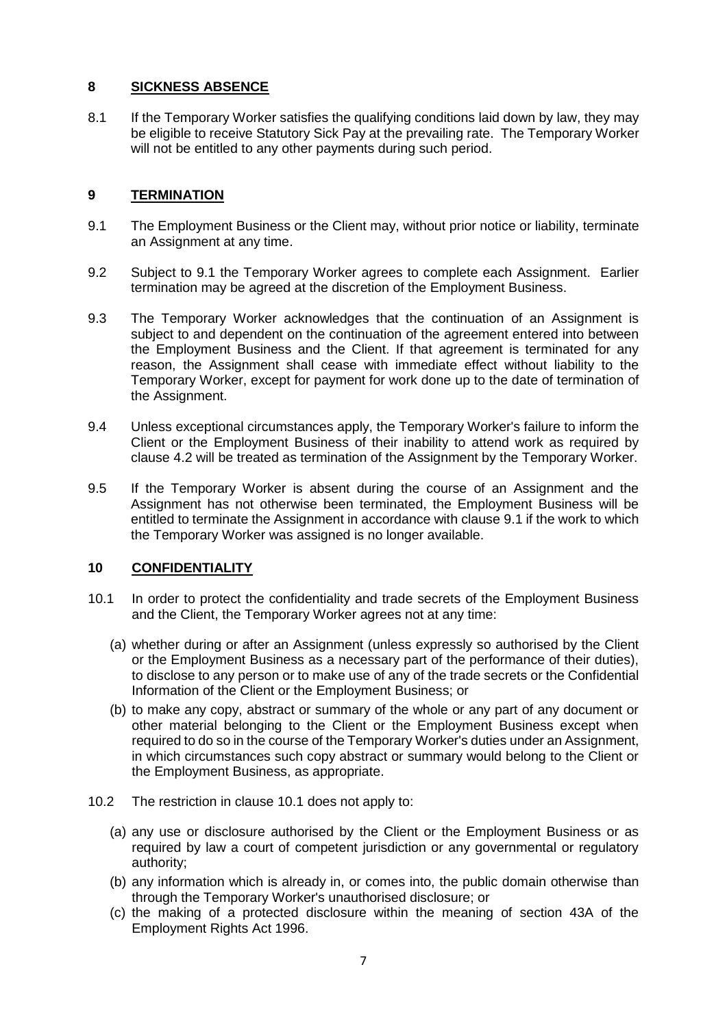#### **8 SICKNESS ABSENCE**

8.1 If the Temporary Worker satisfies the qualifying conditions laid down by law, they may be eligible to receive Statutory Sick Pay at the prevailing rate. The Temporary Worker will not be entitled to any other payments during such period.

#### **9 TERMINATION**

- 9.1 The Employment Business or the Client may, without prior notice or liability, terminate an Assignment at any time.
- 9.2 Subject to 9.1 the Temporary Worker agrees to complete each Assignment. Earlier termination may be agreed at the discretion of the Employment Business.
- 9.3 The Temporary Worker acknowledges that the continuation of an Assignment is subject to and dependent on the continuation of the agreement entered into between the Employment Business and the Client. If that agreement is terminated for any reason, the Assignment shall cease with immediate effect without liability to the Temporary Worker, except for payment for work done up to the date of termination of the Assignment.
- 9.4 Unless exceptional circumstances apply, the Temporary Worker's failure to inform the Client or the Employment Business of their inability to attend work as required by clause 4.2 will be treated as termination of the Assignment by the Temporary Worker.
- 9.5 If the Temporary Worker is absent during the course of an Assignment and the Assignment has not otherwise been terminated, the Employment Business will be entitled to terminate the Assignment in accordance with clause 9.1 if the work to which the Temporary Worker was assigned is no longer available.

#### **10 CONFIDENTIALITY**

- 10.1 In order to protect the confidentiality and trade secrets of the Employment Business and the Client, the Temporary Worker agrees not at any time:
	- (a) whether during or after an Assignment (unless expressly so authorised by the Client or the Employment Business as a necessary part of the performance of their duties), to disclose to any person or to make use of any of the trade secrets or the Confidential Information of the Client or the Employment Business; or
	- (b) to make any copy, abstract or summary of the whole or any part of any document or other material belonging to the Client or the Employment Business except when required to do so in the course of the Temporary Worker's duties under an Assignment, in which circumstances such copy abstract or summary would belong to the Client or the Employment Business, as appropriate.
- 10.2 The restriction in clause 10.1 does not apply to:
	- (a) any use or disclosure authorised by the Client or the Employment Business or as required by law a court of competent jurisdiction or any governmental or regulatory authority;
	- (b) any information which is already in, or comes into, the public domain otherwise than through the Temporary Worker's unauthorised disclosure; or
	- (c) the making of a protected disclosure within the meaning of section 43A of the Employment Rights Act 1996.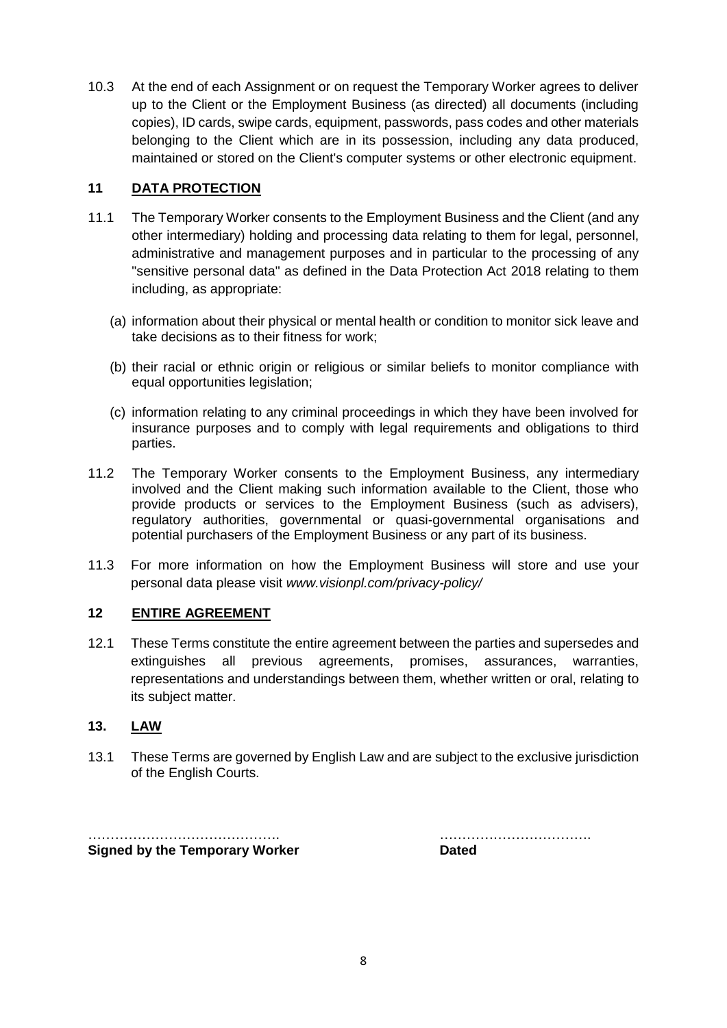10.3 At the end of each Assignment or on request the Temporary Worker agrees to deliver up to the Client or the Employment Business (as directed) all documents (including copies), ID cards, swipe cards, equipment, passwords, pass codes and other materials belonging to the Client which are in its possession, including any data produced, maintained or stored on the Client's computer systems or other electronic equipment.

### **11 DATA PROTECTION**

- 11.1 The Temporary Worker consents to the Employment Business and the Client (and any other intermediary) holding and processing data relating to them for legal, personnel, administrative and management purposes and in particular to the processing of any "sensitive personal data" as defined in the Data Protection Act 2018 relating to them including, as appropriate:
	- (a) information about their physical or mental health or condition to monitor sick leave and take decisions as to their fitness for work;
	- (b) their racial or ethnic origin or religious or similar beliefs to monitor compliance with equal opportunities legislation;
	- (c) information relating to any criminal proceedings in which they have been involved for insurance purposes and to comply with legal requirements and obligations to third parties.
- 11.2 The Temporary Worker consents to the Employment Business, any intermediary involved and the Client making such information available to the Client, those who provide products or services to the Employment Business (such as advisers), regulatory authorities, governmental or quasi-governmental organisations and potential purchasers of the Employment Business or any part of its business.
- 11.3 For more information on how the Employment Business will store and use your personal data please visit *[www.visionpl.com/privacy-policy/](http://www.visionpl.com/privacy-policy/)*

#### **12 ENTIRE AGREEMENT**

12.1 These Terms constitute the entire agreement between the parties and supersedes and extinguishes all previous agreements, promises, assurances, warranties, representations and understandings between them, whether written or oral, relating to its subject matter.

#### **13. LAW**

13.1 These Terms are governed by English Law and are subject to the exclusive jurisdiction of the English Courts.

……………………………………. ……………………………. **Signed by the Temporary Worker** 

| <b>Da</b> |  |  |
|-----------|--|--|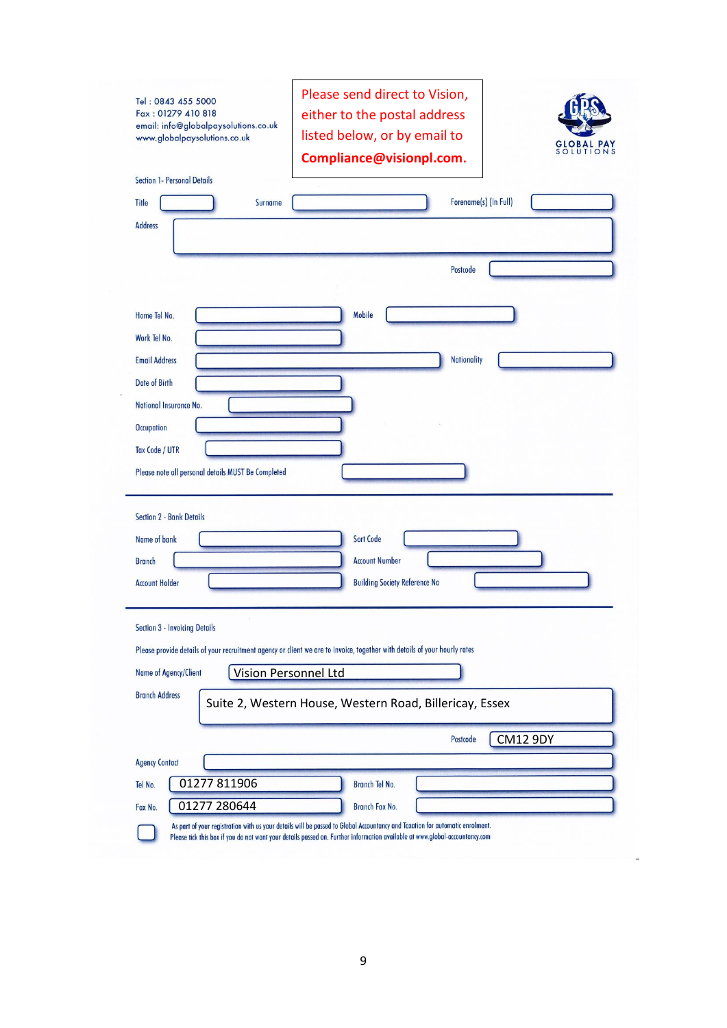| Tel: 0843 455 5000<br>Fax: 01279 410 818<br>email: info@globalpaysolutions.co.uk<br>www.globalpaysolutions.co.uk | Please send direct to Vision,<br>either to the postal address<br>listed below, or by email to<br>TIONS<br>Compliance@visionpl.com. |
|------------------------------------------------------------------------------------------------------------------|------------------------------------------------------------------------------------------------------------------------------------|
| Section 1- Personal Details                                                                                      |                                                                                                                                    |
| <b>Title</b><br>Surname                                                                                          | Forename(s) (In Full)                                                                                                              |
| <b>Address</b>                                                                                                   |                                                                                                                                    |
|                                                                                                                  |                                                                                                                                    |
|                                                                                                                  | Postcode                                                                                                                           |
|                                                                                                                  |                                                                                                                                    |
| Home Tel No.                                                                                                     | Mobile                                                                                                                             |
| Work Tel No.                                                                                                     |                                                                                                                                    |
| <b>Email Address</b>                                                                                             | <b>Nationality</b>                                                                                                                 |
| <b>Date of Birth</b>                                                                                             |                                                                                                                                    |
| National Insurance No.                                                                                           |                                                                                                                                    |
|                                                                                                                  |                                                                                                                                    |
| <b>Occupation</b>                                                                                                |                                                                                                                                    |
| <b>Tax Code / UTR</b>                                                                                            |                                                                                                                                    |
| Please note all personal details MUST Be Completed                                                               |                                                                                                                                    |
|                                                                                                                  |                                                                                                                                    |
| <b>Section 2 - Bank Details</b>                                                                                  |                                                                                                                                    |
| Name of bank                                                                                                     | <b>Sort Code</b>                                                                                                                   |
| <b>Branch</b>                                                                                                    | <b>Account Number</b>                                                                                                              |
| <b>Account Holder</b>                                                                                            | <b>Building Society Reference No</b>                                                                                               |
|                                                                                                                  |                                                                                                                                    |
| Section 3 - Invoicing Details                                                                                    |                                                                                                                                    |
|                                                                                                                  | Please provide details of your recruitment agency or client we are to invoice, together with details of your hourly rates          |
| Name of Agency/Client                                                                                            | Vision Personnel Ltd                                                                                                               |
| <b>Branch Address</b>                                                                                            | Suite 2, Western House, Western Road, Billericay, Essex                                                                            |
|                                                                                                                  |                                                                                                                                    |
|                                                                                                                  | <b>CM12 9DY</b><br>Postcode                                                                                                        |
| <b>Agency Contact</b>                                                                                            |                                                                                                                                    |
| Tel No.                                                                                                          | Branch Tel No.                                                                                                                     |
| 01277811906<br>01277 280644<br>Fax No.                                                                           | <b>Branch Fax No.</b>                                                                                                              |

 $\overline{a}$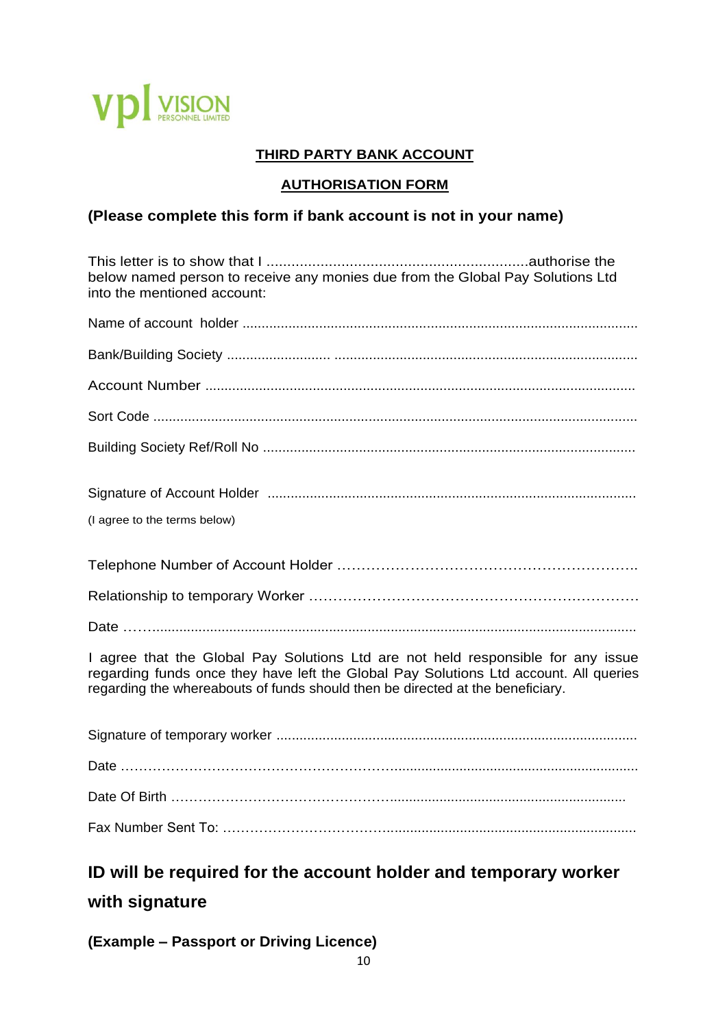

# **THIRD PARTY BANK ACCOUNT**

# **AUTHORISATION FORM**

# **(Please complete this form if bank account is not in your name)**

| below named person to receive any monies due from the Global Pay Solutions Ltd<br>into the mentioned account:                                                                                                                                               |
|-------------------------------------------------------------------------------------------------------------------------------------------------------------------------------------------------------------------------------------------------------------|
|                                                                                                                                                                                                                                                             |
|                                                                                                                                                                                                                                                             |
|                                                                                                                                                                                                                                                             |
|                                                                                                                                                                                                                                                             |
|                                                                                                                                                                                                                                                             |
|                                                                                                                                                                                                                                                             |
| (I agree to the terms below)                                                                                                                                                                                                                                |
|                                                                                                                                                                                                                                                             |
|                                                                                                                                                                                                                                                             |
|                                                                                                                                                                                                                                                             |
| I agree that the Global Pay Solutions Ltd are not held responsible for any issue<br>regarding funds once they have left the Global Pay Solutions Ltd account. All queries<br>regarding the whereabouts of funds should then be directed at the beneficiary. |
|                                                                                                                                                                                                                                                             |
|                                                                                                                                                                                                                                                             |
|                                                                                                                                                                                                                                                             |
|                                                                                                                                                                                                                                                             |
| ID will be required for the account holder and temporary worker                                                                                                                                                                                             |

# **with signature**

# **(Example – Passport or Driving Licence)**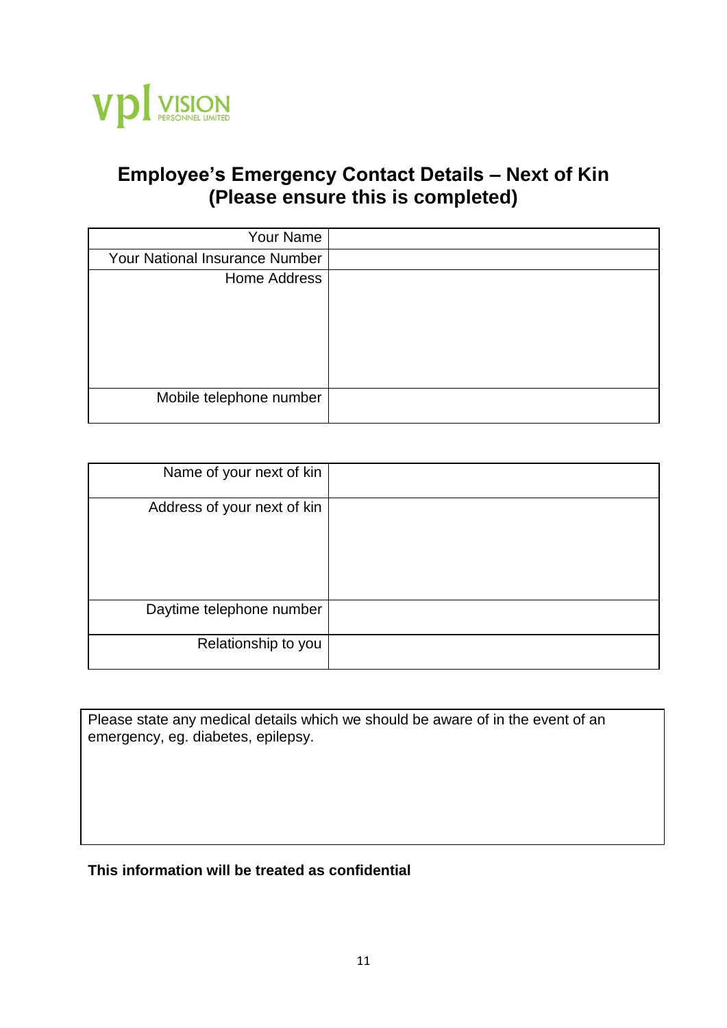

# **Employee's Emergency Contact Details – Next of Kin (Please ensure this is completed)**

| Your Name                             |  |
|---------------------------------------|--|
| <b>Your National Insurance Number</b> |  |
| Home Address                          |  |
|                                       |  |
|                                       |  |
|                                       |  |
| Mobile telephone number               |  |

| Name of your next of kin    |  |
|-----------------------------|--|
| Address of your next of kin |  |
|                             |  |
|                             |  |
| Daytime telephone number    |  |
|                             |  |
| Relationship to you         |  |
|                             |  |

Please state any medical details which we should be aware of in the event of an emergency, eg. diabetes, epilepsy.

# **This information will be treated as confidential**